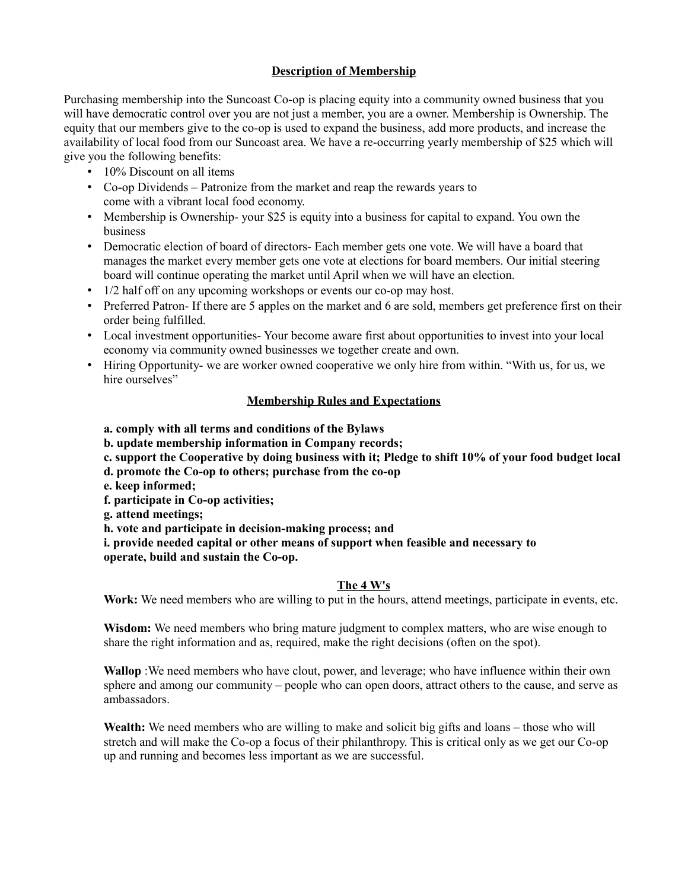# **Description of Membership**

Purchasing membership into the Suncoast Co-op is placing equity into a community owned business that you will have democratic control over you are not just a member, you are a owner. Membership is Ownership. The equity that our members give to the co-op is used to expand the business, add more products, and increase the availability of local food from our Suncoast area. We have a re-occurring yearly membership of \$25 which will give you the following benefits:

- 10% Discount on all items
- Co-op Dividends Patronize from the market and reap the rewards years to come with a vibrant local food economy.
- Membership is Ownership- your \$25 is equity into a business for capital to expand. You own the business
- Democratic election of board of directors- Each member gets one vote. We will have a board that manages the market every member gets one vote at elections for board members. Our initial steering board will continue operating the market until April when we will have an election.
- 1/2 half off on any upcoming workshops or events our co-op may host.
- Preferred Patron- If there are 5 apples on the market and 6 are sold, members get preference first on their order being fulfilled.
- Local investment opportunities- Your become aware first about opportunities to invest into your local economy via community owned businesses we together create and own.
- Hiring Opportunity- we are worker owned cooperative we only hire from within. "With us, for us, we hire ourselves"

### **Membership Rules and Expectations**

- **a. comply with all terms and conditions of the Bylaws**
- **b. update membership information in Company records;**
- **c. support the Cooperative by doing business with it; Pledge to shift 10% of your food budget local**
- **d. promote the Co-op to others; purchase from the co-op**
- **e. keep informed;**
- **f. participate in Co-op activities;**
- **g. attend meetings;**
- **h. vote and participate in decision-making process; and**

**i. provide needed capital or other means of support when feasible and necessary to operate, build and sustain the Co-op.** 

### **The 4 W's**

Work: We need members who are willing to put in the hours, attend meetings, participate in events, etc.

**Wisdom:** We need members who bring mature judgment to complex matters, who are wise enough to share the right information and as, required, make the right decisions (often on the spot).

**Wallop** :We need members who have clout, power, and leverage; who have influence within their own sphere and among our community – people who can open doors, attract others to the cause, and serve as ambassadors.

**Wealth:** We need members who are willing to make and solicit big gifts and loans – those who will stretch and will make the Co-op a focus of their philanthropy. This is critical only as we get our Co-op up and running and becomes less important as we are successful.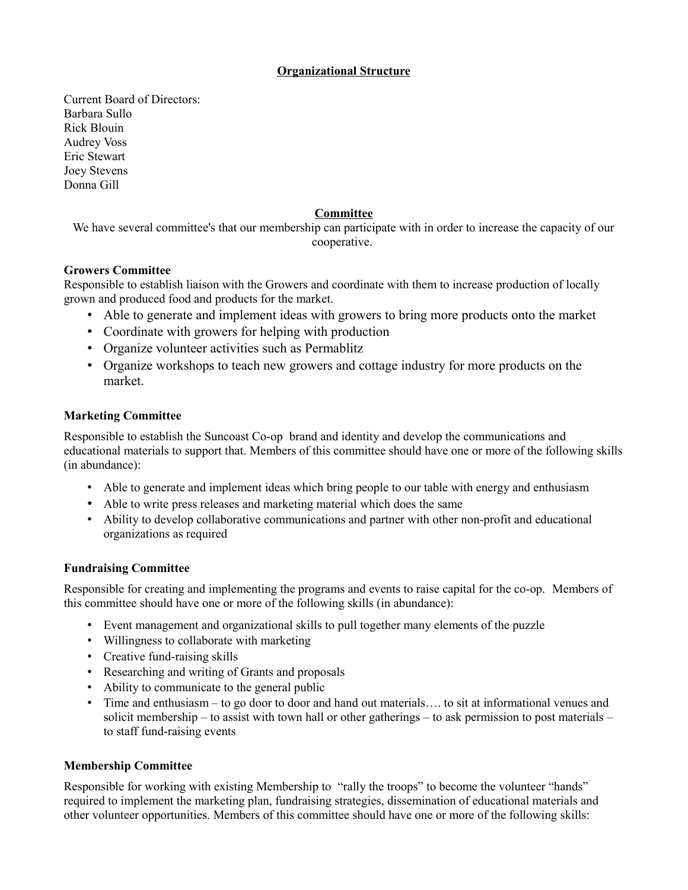## **Organizational Structure**

Current Board of Directors: Barbara Sullo Rick Blouin Audrey Voss Eric Stewart Joey Stevens Donna Gill

## **Committee**

We have several committee's that our membership can participate with in order to increase the capacity of our cooperative.

### **Growers Committee**

Responsible to establish liaison with the Growers and coordinate with them to increase production of locally grown and produced food and products for the market.

- Able to generate and implement ideas with growers to bring more products onto the market
- Coordinate with growers for helping with production
- Organize volunteer activities such as Permablitz
- Organize workshops to teach new growers and cottage industry for more products on the market.

### **Marketing Committee**

Responsible to establish the Suncoast Co-op brand and identity and develop the communications and educational materials to support that. Members of this committee should have one or more of the following skills (in abundance):

- Able to generate and implement ideas which bring people to our table with energy and enthusiasm
- Able to write press releases and marketing material which does the same
- Ability to develop collaborative communications and partner with other non-profit and educational organizations as required

### **Fundraising Committee**

Responsible for creating and implementing the programs and events to raise capital for the co-op. Members of this committee should have one or more of the following skills (in abundance):

- Event management and organizational skills to pull together many elements of the puzzle
- Willingness to collaborate with marketing
- Creative fund-raising skills
- Researching and writing of Grants and proposals
- Ability to communicate to the general public
- Time and enthusiasm to go door to door and hand out materials..., to sit at informational venues and solicit membership – to assist with town hall or other gatherings – to ask permission to post materials – to staff fund-raising events

### **Membership Committee**

Responsible for working with existing Membership to "rally the troops" to become the volunteer "hands" required to implement the marketing plan, fundraising strategies, dissemination of educational materials and other volunteer opportunities. Members of this committee should have one or more of the following skills: